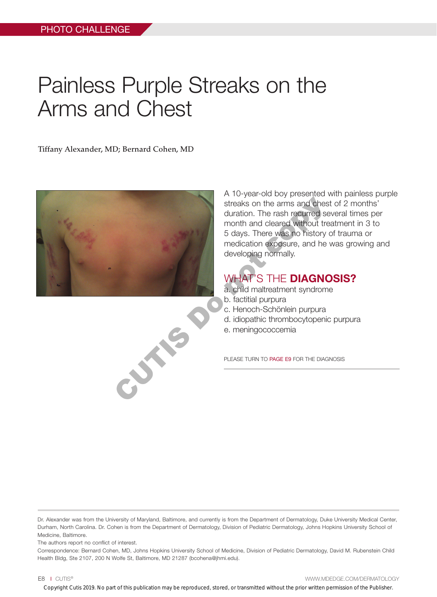## Painless Purple Streaks on the Arms and Chest

Tiffany Alexander, MD; Bernard Cohen, MD



A 10-year-old boy presented with painless purple streaks on the arms and chest of 2 months' duration. The rash recurred several times per month and cleared without treatment in 3 to 5 days. There was no history of trauma or medication exposure, and he was growing and developing normally.

## WHAT'S THE **DIAGNOSIS?**

- a. child maltreatment syndrome
- b. factitial purpura
- c. Henoch-Schönlein purpura
- d. idiopathic thrombocytopenic purpura
- e. meningococcemia

PLEASE TURN TO PAGE E9 FOR THE DIAGNOSIS

Dr. Alexander was from the University of Maryland, Baltimore, and currently is from the Department of Dermatology, Duke University Medical Center, Durham, North Carolina. Dr. Cohen is from the Department of Dermatology, Division of Pediatric Dermatology, Johns Hopkins University School of Medicine, Baltimore.

The authors report no conflict of interest.

Correspondence: Bernard Cohen, MD, Johns Hopkins University School of Medicine, Division of Pediatric Dermatology, David M. Rubenstein Child Health Bldg, Ste 2107, 200 N Wolfe St, Baltimore, MD 21287 (bcohena@jhmi.edu).

E8 I CUTIS® WWW.MDEDGE.COM/DERMATOLOGY